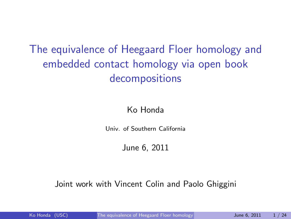The equivalence of Heegaard Floer homology and embedded contact homology via open book decompositions

### Ko Honda

Univ. of Southern California

### <span id="page-0-0"></span>June 6, 2011

### Joint work with Vincent Colin and Paolo Ghiggini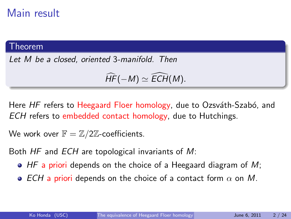### Main result

#### Theorem

Let M be a closed, oriented 3-manifold. Then

$$
\widehat{HF}(-M)\simeq \widehat{ECH}(M).
$$

Here HF refers to Heegaard Floer homology, due to Ozsváth-Szabó, and ECH refers to embedded contact homology, due to Hutchings.

We work over  $\mathbb{F} = \mathbb{Z}/2\mathbb{Z}$ -coefficients.

Both HF and ECH are topological invariants of M:

- $\bullet$  HF a priori depends on the choice of a Heegaard diagram of M;
- ECH a priori depends on the choice of a contact form  $\alpha$  on M.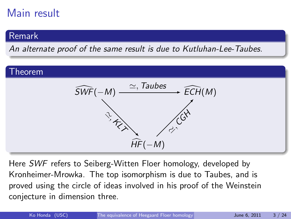# Main result

### Remark

An alternate proof of the same result is due to Kutluhan-Lee-Taubes.

#### Theorem



Here SWF refers to Seiberg-Witten Floer homology, developed by Kronheimer-Mrowka. The top isomorphism is due to Taubes, and is proved using the circle of ideas involved in his proof of the Weinstein conjecture in dimension three.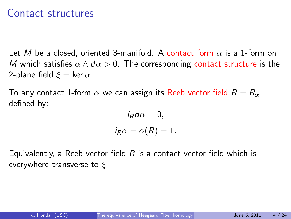### Contact structures

Let M be a closed, oriented 3-manifold. A contact form  $\alpha$  is a 1-form on M which satisfies  $\alpha \wedge d\alpha > 0$ . The corresponding contact structure is the 2-plane field  $\xi = \ker \alpha$ .

To any contact 1-form  $\alpha$  we can assign its Reeb vector field  $R = R_{\alpha}$ defined by:

$$
i_R d\alpha = 0,
$$
  

$$
i_R \alpha = \alpha(R) = 1.
$$

Equivalently, a Reeb vector field  $R$  is a contact vector field which is everywhere transverse to  $\xi$ .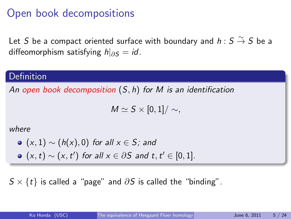### Open book decompositions

Let  $S$  be a compact oriented surface with boundary and  $h: S \stackrel{\sim}{\to} S$  be a diffeomorphism satisfying  $h|_{\partial S} = id$ .

#### Definition

An open book decomposition  $(S, h)$  for M is an identification

 $M \simeq S \times [0, 1] / \sim$ ,

#### where

\n- • 
$$
(x, 1) \sim (h(x), 0)
$$
 for all  $x \in S$ ; and
\n- •  $(x, t) \sim (x, t')$  for all  $x \in \partial S$  and  $t, t' \in [0, 1]$ .
\n

 $S \times \{t\}$  is called a "page" and  $\partial S$  is called the "binding".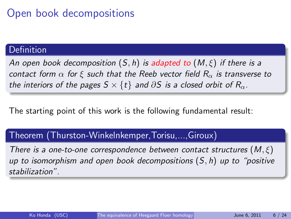# Open book decompositions

### **Definition**

An open book decomposition  $(S, h)$  is adapted to  $(M, \xi)$  if there is a contact form  $\alpha$  for ξ such that the Reeb vector field  $R_{\alpha}$  is transverse to the interiors of the pages  $S \times \{t\}$  and  $\partial S$  is a closed orbit of  $R_{\alpha}$ .

The starting point of this work is the following fundamental result:

### Theorem (Thurston-Winkelnkemper,Torisu,...,Giroux)

There is a one-to-one correspondence between contact structures  $(M,\xi)$ up to isomorphism and open book decompositions  $(S, h)$  up to "positive" stabilization".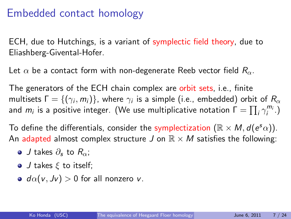### Embedded contact homology

ECH, due to Hutchings, is a variant of symplectic field theory, due to Eliashberg-Givental-Hofer.

Let  $\alpha$  be a contact form with non-degenerate Reeb vector field  $R_{\alpha}$ .

The generators of the ECH chain complex are orbit sets, i.e., finite multisets  $\mathsf{\Gamma}=\{(\gamma_i,m_i)\}$ , where  $\gamma_i$  is a simple (i.e., embedded) orbit of  $R_\alpha$ and  $m_i$  is a positive integer. (We use multiplicative notation  $\Gamma = \prod_i \gamma_i^{m_i}$ .)

To define the differentials, consider the symplectization  $(\mathbb{R} \times M, d(e^s\alpha))$ . An adapted almost complex structure J on  $\mathbb{R} \times M$  satisfies the following:

- $\bullet$  J takes  $\partial_{\epsilon}$  to  $R_{\alpha}$ :
- $\bullet$  J takes  $\xi$  to itself;
- $\bullet$  d $\alpha$ (v, Jv) > 0 for all nonzero v.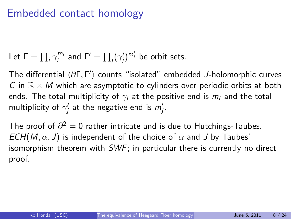### Embedded contact homology

Let  $\Gamma = \prod_i \gamma_i^{m_i}$  and  $\Gamma' = \prod_j (\gamma_j')$  $(j)^{m'_i}$  be orbit sets.

The differential  $\langle \partial \Gamma, \Gamma' \rangle$  counts "isolated" embedded J-holomorphic curves C in  $\mathbb{R} \times M$  which are asymptotic to cylinders over periodic orbits at both ends. The total multiplicity of  $\gamma_i$  at the positive end is  $m_i$  and the total multiplicity of  $\gamma_i'$  $j'$  at the negative end is  $m'_j$ .

The proof of  $\partial^2=0$  rather intricate and is due to Hutchings-Taubes.  $ECH(M, \alpha, J)$  is independent of the choice of  $\alpha$  and J by Taubes' isomorphism theorem with SWF; in particular there is currently no direct proof.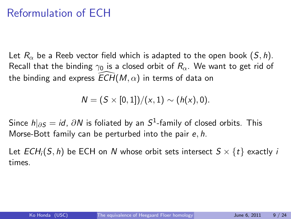### Reformulation of ECH

Let  $R_{\alpha}$  be a Reeb vector field which is adapted to the open book  $(S, h)$ . Recall that the binding  $\gamma_0$  is a closed orbit of  $R_\alpha$ . We want to get rid of the binding and express  $ECH(M, \alpha)$  in terms of data on

 $N = (S \times [0, 1])/(x, 1) \sim (h(x), 0).$ 

Since  $h|_{\partial \mathcal{S}}=id$ ,  $\partial \mathcal{N}$  is foliated by an  $\mathcal{S}^1$ -family of closed orbits. This Morse-Bott family can be perturbed into the pair e, h.

Let  $ECH_i(S, h)$  be ECH on N whose orbit sets intersect  $S \times \{t\}$  exactly i times.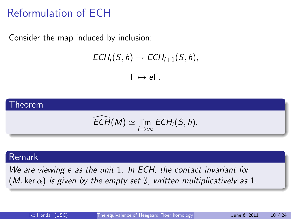# Reformulation of ECH

Consider the map induced by inclusion:

$$
ECH_i(S,h)\to ECH_{i+1}(S,h),
$$

 $Γ \mapsto eΓ$ .



#### Remark

We are viewing e as the unit 1. In ECH, the contact invariant for (M, ker  $\alpha$ ) is given by the empty set  $\emptyset$ , written multiplicatively as 1.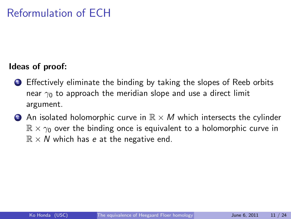#### Ideas of proof:

- **1** Effectively eliminate the binding by taking the slopes of Reeb orbits near  $\gamma_0$  to approach the meridian slope and use a direct limit argument.
- **2** An isolated holomorphic curve in  $\mathbb{R} \times M$  which intersects the cylinder  $\mathbb{R} \times \gamma_0$  over the binding once is equivalent to a holomorphic curve in  $\mathbb{R} \times N$  which has e at the negative end.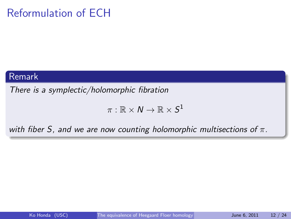# Reformulation of ECH

#### Remark

There is a symplectic/holomorphic fibration

$$
\pi:\mathbb{R}\times N\to\mathbb{R}\times S^1
$$

with fiber S, and we are now counting holomorphic multisections of  $\pi$ .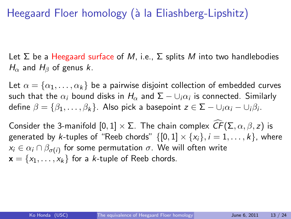# Heegaard Floer homology (à la Eliashberg-Lipshitz)

Let  $\Sigma$  be a Heegaard surface of M, i.e.,  $\Sigma$  splits M into two handlebodies  $H_{\alpha}$  and  $H_{\beta}$  of genus k.

Let  $\alpha = \{\alpha_1, \dots, \alpha_k\}$  be a pairwise disjoint collection of embedded curves such that the  $\alpha_i$  bound disks in  $H_\alpha$  and  $\Sigma-\cup_i\alpha_i$  is connected. Similarly define  $\beta=\{\beta_1,\ldots,\beta_k\}$ . Also pick a basepoint  $z\in \mathsf{\Sigma}-\cup_i\alpha_i-\cup_i\beta_i.$ 

Consider the 3-manifold  $[0,1] \times \Sigma$ . The chain complex  $\widehat{CF}(\Sigma, \alpha, \beta, z)$  is generated by k-tuples of "Reeb chords"  $\{[0,1] \times \{x_i\}, i = 1,\ldots,k\}$ , where  $\mathsf{x}_{i}\in \alpha_{i}\cap\beta_{\sigma(i)}$  for some permutation  $\sigma.$  We will often write  $\mathbf{x} = \{x_1, \ldots, x_k\}$  for a *k*-tuple of Reeb chords.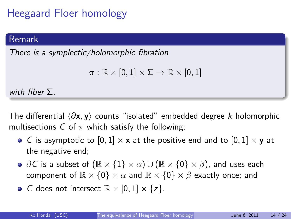# Heegaard Floer homology

### Remark

There is a symplectic/holomorphic fibration

$$
\pi:\mathbb{R}\times[0,1]\times\Sigma\to\mathbb{R}\times[0,1]
$$

with fiber  $\Sigma$ .

The differential  $\langle \partial \mathbf{x}, \mathbf{y} \rangle$  counts "isolated" embedded degree k holomorphic multisections C of  $\pi$  which satisfy the following:

- C is asymptotic to  $[0,1] \times \mathbf{x}$  at the positive end and to  $[0,1] \times \mathbf{y}$  at the negative end;
- $\partial C$  is a subset of  $(\mathbb{R} \times \{1\} \times \alpha) \cup (\mathbb{R} \times \{0\} \times \beta)$ , and uses each component of  $\mathbb{R} \times \{0\} \times \alpha$  and  $\mathbb{R} \times \{0\} \times \beta$  exactly once; and
- C does not intersect  $\mathbb{R} \times [0,1] \times \{z\}$ .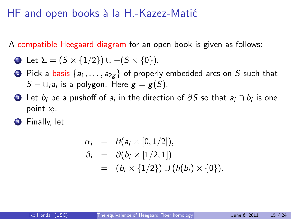### HF and open books à la H.-Kazez-Matić

A compatible Heegaard diagram for an open book is given as follows:

• Let 
$$
\Sigma = (S \times \{1/2\}) \cup -(S \times \{0\}).
$$

- **2** Pick a basis  $\{a_1, \ldots, a_{2g}\}$  of properly embedded arcs on S such that  $S-\cup_i a_i$  is a polygon. Here  $g=g(S)$ .
- 3) Let  $b_i$  be a pushoff of  $a_i$  in the direction of  $\partial S$  so that  $a_i \cap b_i$  is one point  $x_i$ .
- **4** Finally, let

$$
\alpha_i = \partial(a_i \times [0, 1/2]),
$$
  
\n
$$
\beta_i = \partial(b_i \times [1/2, 1])
$$
  
\n
$$
= (b_i \times \{1/2\}) \cup (h(b_i) \times \{0\}).
$$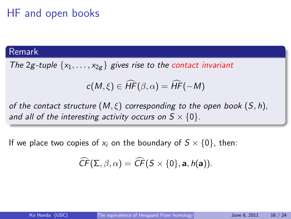# HF and open books

#### Remark

The 2g-tuple  $\{x_1, \ldots, x_{2g}\}$  gives rise to the contact invariant

$$
c(M,\xi)\in \widehat{HF}(\beta,\alpha)=\widehat{HF}(-M)
$$

of the contact structure  $(M,\xi)$  corresponding to the open book  $(S,h)$ , and all of the interesting activity occurs on  $S \times \{0\}$ .

If we place two copies of  $x_i$  on the boundary of  $S \times \{0\}$ , then:

$$
\widehat{\mathit{CF}}(\Sigma,\beta,\alpha)=\widehat{\mathit{CF}}(S\times\{0\},\mathbf{a},\mathit{h}(\mathbf{a})).
$$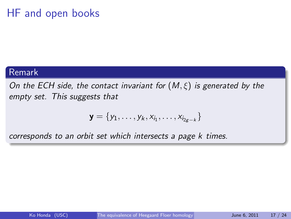### HF and open books

#### Remark

On the ECH side, the contact invariant for  $(M, \xi)$  is generated by the empty set. This suggests that

$$
\textbf{y}=\{y_1,\ldots,y_k,x_{i_1},\ldots,x_{i_{2g-k}}\}
$$

corresponds to an orbit set which intersects a page k times.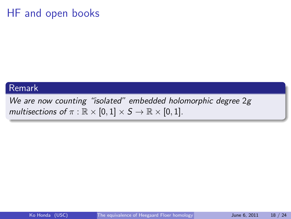### HF and open books

#### Remark

We are now counting "isolated" embedded holomorphic degree 2g multisections of  $\pi : \mathbb{R} \times [0,1] \times S \to \mathbb{R} \times [0,1]$ .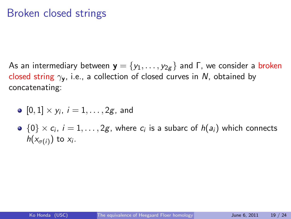### Broken closed strings

As an intermediary between  $\mathbf{y} = \{y_1, \ldots, y_{2g}\}$  and  $\Gamma$ , we consider a broken closed string  $\gamma_{\mathbf{v}}$ , i.e., a collection of closed curves in N, obtained by concatenating:

• 
$$
[0,1] \times y_i
$$
,  $i = 1, ..., 2g$ , and

 $\{0\}\times c_i,\ i=1,\ldots,2g,$  where  $c_i$  is a subarc of  $h(a_i)$  which connects  $h(x_{\sigma(i)})$  to  $x_i$ .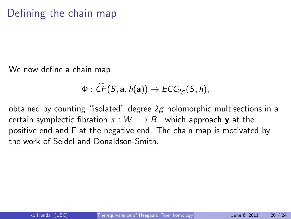### Defining the chain map

We now define a chain map

$$
\Phi: \widehat{CF}(S, \mathbf{a}, h(\mathbf{a})) \to ECC_{2g}(S, h),
$$

obtained by counting "isolated" degree  $2g$  holomorphic multisections in a certain symplectic fibration  $\pi : W_+ \to B_+$  which approach y at the positive end and Γ at the negative end. The chain map is motivated by the work of Seidel and Donaldson-Smith.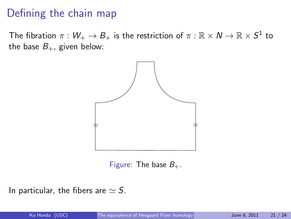### Defining the chain map

The fibration  $\pi:W_+\to B_+$  is the restriction of  $\pi:\mathbb{R}\times\mathcal{N}\to\mathbb{R}\times S^1$  to the base  $B_+$ , given below:



Figure: The base  $B_{+}$ .

In particular, the fibers are  $\simeq$  S.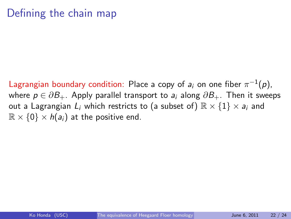### Defining the chain map

Lagrangian boundary condition: Place a copy of  $a_i$  on one fiber  $\pi^{-1}(\rho),$ where  $p \in \partial B_+$ . Apply parallel transport to  $a_i$  along  $\partial B_+$ . Then it sweeps out a Lagrangian  $L_i$  which restricts to (a subset of)  $\mathbb{R} \times \{1\} \times a_i$  and  $\mathbb{R} \times \{0\} \times h(a_i)$  at the positive end.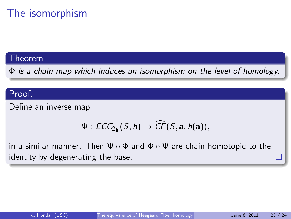# The isomorphism

#### Theorem

Φ is a chain map which induces an isomorphism on the level of homology.

### Proof.

Define an inverse map

$$
\Psi: \mathit{ECC}_{2g}(S, h) \to \widehat{\mathit{CF}}(S, a, h(a)),
$$

in a similar manner. Then  $\Psi \circ \Phi$  and  $\Phi \circ \Psi$  are chain homotopic to the identity by degenerating the base.